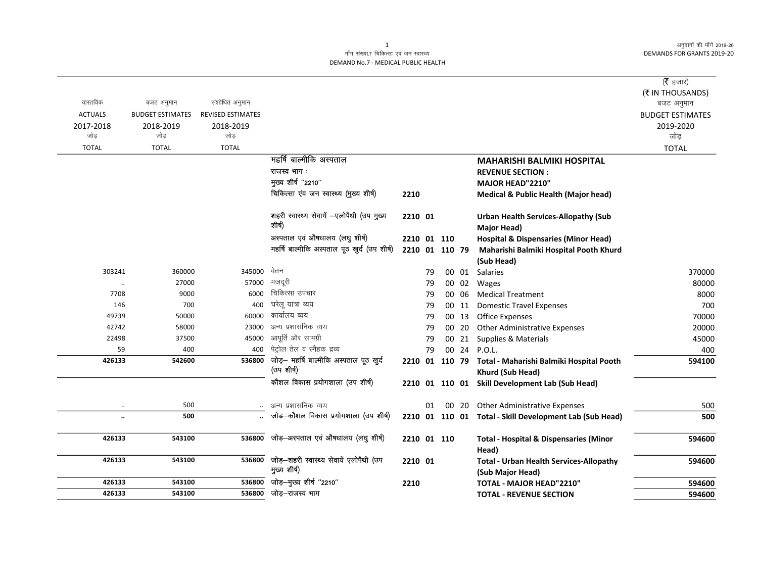अनुदानों की माँगें 2019-20 DEMANDS FOR GRANTS 2019-20

## माँग संख्या.7 चिकित्सा एवं जन स्वास्थ्य DEMAND No.7 - MEDICAL PUBLIC HEALTH

|                  |                                       |                          |                                                              |                |    |       |                                                            | ( $\bar{\tau}$ हजार)    |
|------------------|---------------------------------------|--------------------------|--------------------------------------------------------------|----------------|----|-------|------------------------------------------------------------|-------------------------|
| वास्तविक         |                                       | संशोधित अनुमान           |                                                              |                |    |       |                                                            | (₹ IN THOUSANDS)        |
| <b>ACTUALS</b>   | बजट अनुमान<br><b>BUDGET ESTIMATES</b> | <b>REVISED ESTIMATES</b> |                                                              |                |    |       |                                                            | बजट अनुमान              |
|                  |                                       |                          |                                                              |                |    |       |                                                            | <b>BUDGET ESTIMATES</b> |
| 2017-2018<br>जोड | 2018-2019<br>जोड                      | 2018-2019<br>जोड         |                                                              |                |    |       |                                                            | 2019-2020<br>जोड़       |
| <b>TOTAL</b>     | <b>TOTAL</b>                          | <b>TOTAL</b>             |                                                              |                |    |       |                                                            | <b>TOTAL</b>            |
|                  |                                       |                          | महर्षि बाल्मीकि अस्पताल                                      |                |    |       | <b>MAHARISHI BALMIKI HOSPITAL</b>                          |                         |
|                  |                                       |                          | राजस्व भाग:                                                  |                |    |       | <b>REVENUE SECTION:</b>                                    |                         |
|                  |                                       |                          | मुख्य शीर्ष "2210"                                           |                |    |       | MAJOR HEAD"2210"                                           |                         |
|                  |                                       |                          | चिकित्सा एंव जन स्वास्थ्य (मुख्य शीर्ष)                      | 2210           |    |       | <b>Medical &amp; Public Health (Major head)</b>            |                         |
|                  |                                       |                          |                                                              |                |    |       |                                                            |                         |
|                  |                                       |                          | शहरी स्वास्थ्य सेवायें -एलोपैथी (उप मुख्य                    | 2210 01        |    |       | <b>Urban Health Services-Allopathy (Sub</b>                |                         |
|                  |                                       |                          | शीर्ष)                                                       |                |    |       | <b>Major Head)</b>                                         |                         |
|                  |                                       |                          | अस्पताल एवं औषधालय (लघु शीर्ष)                               | 2210 01 110    |    |       | <b>Hospital &amp; Dispensaries (Minor Head)</b>            |                         |
|                  |                                       |                          | महर्षि बाल्मीकि अस्पताल पूठ खुर्द (उप शीर्ष)                 | 2210 01 110 79 |    |       | Maharishi Balmiki Hospital Pooth Khurd                     |                         |
|                  |                                       |                          |                                                              |                |    |       | (Sub Head)                                                 |                         |
| 303241           | 360000                                | 345000                   | वेतन                                                         |                | 79 |       | 00 01 Salaries                                             | 370000                  |
| $\ddotsc$        | 27000                                 | 57000                    | मजदूरी                                                       |                | 79 | 00 02 | Wages                                                      | 80000                   |
| 7708             | 9000                                  | 6000                     | चिकित्सा उपचार                                               |                | 79 | 00 06 | <b>Medical Treatment</b>                                   | 8000                    |
| 146              | 700                                   | 400                      | घरेलू यात्रा व्यय                                            |                | 79 | 00 11 | <b>Domestic Travel Expenses</b>                            | 700                     |
| 49739            | 50000                                 | 60000                    | कार्यालय व्यय                                                |                | 79 | 00 13 | <b>Office Expenses</b>                                     | 70000                   |
| 42742            | 58000                                 | 23000                    | अन्य प्रशासनिक व्यय                                          |                | 79 | 00 20 | <b>Other Administrative Expenses</b>                       | 20000                   |
| 22498            | 37500                                 | 45000                    | आपूर्ति और सामग्री                                           |                | 79 |       | 00 21 Supplies & Materials                                 | 45000                   |
| 59               | 400                                   | 400                      | पेट्रोल तेल व स्नैहक द्रव्य                                  |                | 79 |       | 00 24 P.O.L.                                               | 400                     |
| 426133           | 542600                                | 536800                   | जोड़- महर्षि बाल्मीकि अस्पताल पूठ खुर्द                      |                |    |       | 2210 01 110 79 Total - Maharishi Balmiki Hospital Pooth    | 594100                  |
|                  |                                       |                          | (उप शीर्ष)                                                   |                |    |       | Khurd (Sub Head)                                           |                         |
|                  |                                       |                          | कौशल विकास प्रयोगशाला (उप शीर्ष)                             |                |    |       | 2210 01 110 01 Skill Development Lab (Sub Head)            |                         |
|                  |                                       |                          |                                                              |                |    |       |                                                            |                         |
| $\ldots$         | 500                                   |                          | अन्य प्रशासनिक व्यय<br>जोड़-कौशल विकास प्रयोगशाला (उप शीर्ष) |                | 01 |       | 00 20 Other Administrative Expenses                        | 500                     |
| $\ldots$         | 500                                   |                          |                                                              |                |    |       | 2210 01 110 01 Total - Skill Development Lab (Sub Head)    | 500                     |
| 426133           | 543100                                | 536800                   | जोड़-अस्पताल एवं औषधालय (लघु शीर्ष)                          | 2210 01 110    |    |       |                                                            | 594600                  |
|                  |                                       |                          |                                                              |                |    |       | <b>Total - Hospital &amp; Dispensaries (Minor</b><br>Head) |                         |
| 426133           | 543100                                | 536800                   | जोड़-शहरी स्वास्थ्य सेवायें एलोपैथी (उप                      | 2210 01        |    |       | <b>Total - Urban Health Services-Allopathy</b>             | 594600                  |
|                  |                                       |                          | मुख्य शीर्ष)                                                 |                |    |       | (Sub Major Head)                                           |                         |
| 426133           | 543100                                | 536800                   | जोड़-मुख्य शीर्ष "2210"                                      | 2210           |    |       | TOTAL - MAJOR HEAD"2210"                                   | 594600                  |
| 426133           | 543100                                | 536800                   | जोड़–राजस्व भाग                                              |                |    |       | <b>TOTAL - REVENUE SECTION</b>                             | 594600                  |

 $\overline{1}$